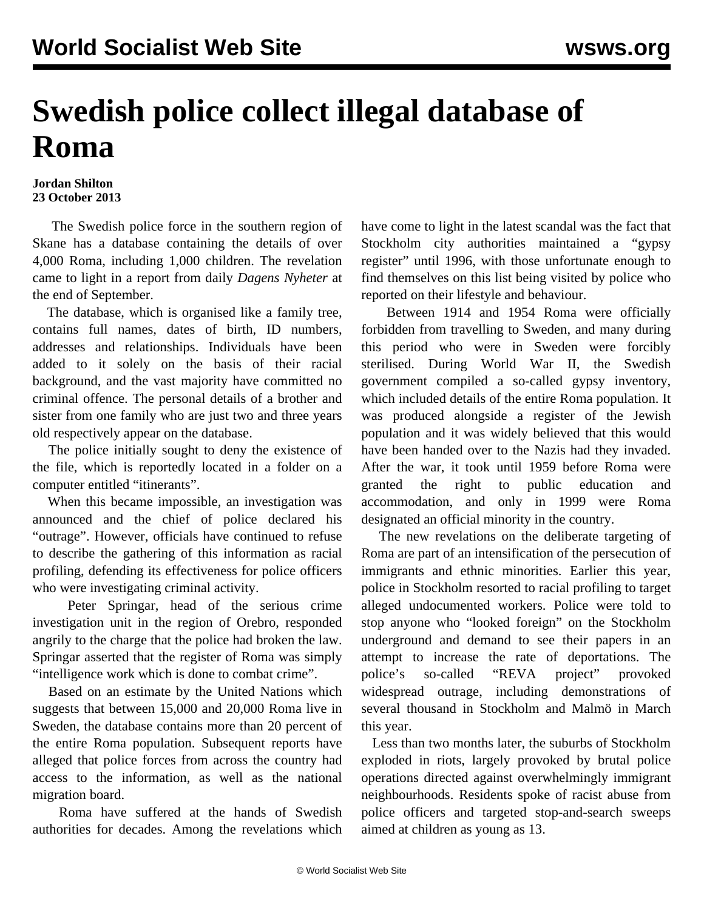## **Swedish police collect illegal database of Roma**

## **Jordan Shilton 23 October 2013**

 The Swedish police force in the southern region of Skane has a database containing the details of over 4,000 Roma, including 1,000 children. The revelation came to light in a report from daily *Dagens Nyheter* at the end of September.

 The database, which is organised like a family tree, contains full names, dates of birth, ID numbers, addresses and relationships. Individuals have been added to it solely on the basis of their racial background, and the vast majority have committed no criminal offence. The personal details of a brother and sister from one family who are just two and three years old respectively appear on the database.

 The police initially sought to deny the existence of the file, which is reportedly located in a folder on a computer entitled "itinerants".

 When this became impossible, an investigation was announced and the chief of police declared his "outrage". However, officials have continued to refuse to describe the gathering of this information as racial profiling, defending its effectiveness for police officers who were investigating criminal activity.

 Peter Springar, head of the serious crime investigation unit in the region of Orebro, responded angrily to the charge that the police had broken the law. Springar asserted that the register of Roma was simply "intelligence work which is done to combat crime".

 Based on an estimate by the United Nations which suggests that between 15,000 and 20,000 Roma live in Sweden, the database contains more than 20 percent of the entire Roma population. Subsequent reports have alleged that police forces from across the country had access to the information, as well as the national migration board.

 Roma have suffered at the hands of Swedish authorities for decades. Among the revelations which have come to light in the latest scandal was the fact that Stockholm city authorities maintained a "gypsy register" until 1996, with those unfortunate enough to find themselves on this list being visited by police who reported on their lifestyle and behaviour.

 Between 1914 and 1954 Roma were officially forbidden from travelling to Sweden, and many during this period who were in Sweden were forcibly sterilised. During World War II, the Swedish government compiled a so-called gypsy inventory, which included details of the entire Roma population. It was produced alongside a register of the Jewish population and it was widely believed that this would have been handed over to the Nazis had they invaded. After the war, it took until 1959 before Roma were granted the right to public education and accommodation, and only in 1999 were Roma designated an official minority in the country.

 The new revelations on the deliberate targeting of Roma are part of an intensification of the persecution of immigrants and ethnic minorities. Earlier this year, police in Stockholm resorted to racial profiling to target alleged undocumented workers. Police were told to stop anyone who "looked foreign" on the Stockholm underground and demand to see their papers in an attempt to increase the rate of deportations. The police's so-called "REVA project" provoked widespread outrage, including demonstrations of several thousand in Stockholm and Malmö in March this year.

 Less than two months later, the suburbs of Stockholm exploded in riots, largely provoked by brutal police operations directed against overwhelmingly immigrant neighbourhoods. Residents spoke of racist abuse from police officers and targeted stop-and-search sweeps aimed at children as young as 13.